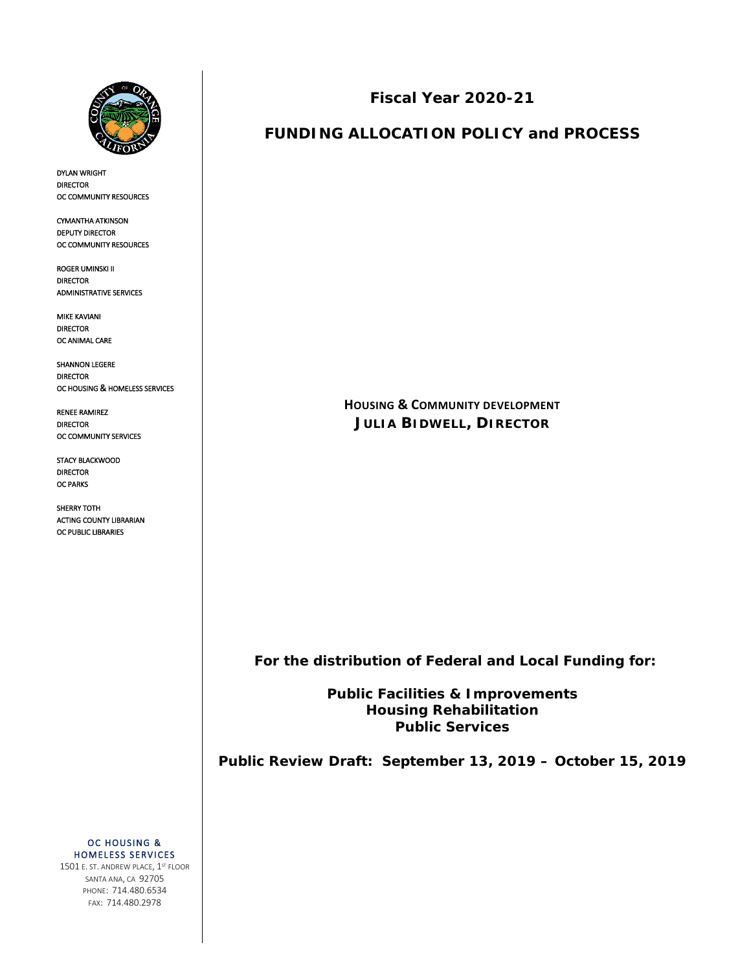

 $\overline{1}$ 

DYLAN WRIGHT DIRECTOR OC COMMUNITY RESOURCES

CYMANTHA ATKINSON DEPUTY DIRECTOR OC COMMUNITY RESOURCES

ROGER UMINSKI II DIRECTOR ADMINISTRATIVE SERVICES

MIKE KAVIANI DIRECTOR OC ANIMAL CARE

SHANNON LEGERE DIRECTOR OC HOUSING & HOMELESS SERVICES

RENEE RAMIREZ DIRECTOR OC COMMUNITY SERVICES

STACY BLACKWOOD DIRECTOR OC PARKS

SHERRY TOTH ACTING COUNTY LIBRARIAN OC PUBLIC LIBRARIES

**Fiscal Year 2020-21**

# **FUNDING ALLOCATION POLICY and PROCESS**

**HOUSING & COMMUNITY DEVELOPMENT JULIA BIDWELL, DIRECTOR**

 **For the distribution of Federal and Local Funding for:**

**Public Facilities & Improvements Housing Rehabilitation Public Services**

**Public Review Draft: September 13, 2019 – October 15, 2019**

OC HOUSING & HOMELESS SERVICES 1501 E. ST. ANDREW PLACE, 1ST FLOOR SANTA ANA, CA 92705 PHONE: 714.480.6534 FAX: 714.480.2978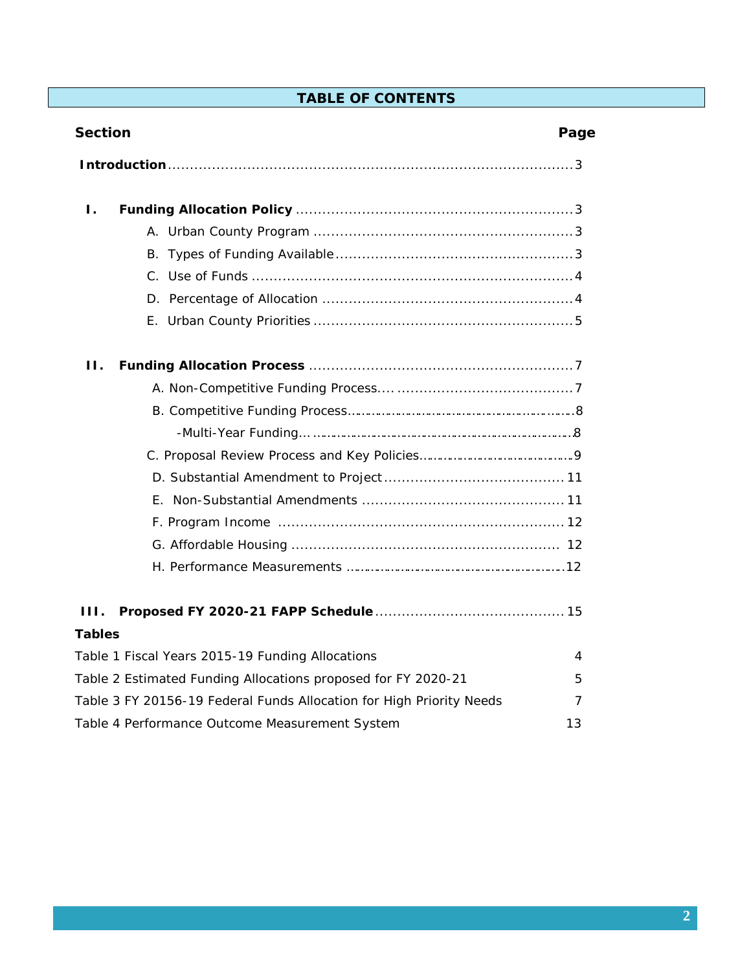# **TABLE OF CONTENTS**

| <b>Section</b>                                                       | Page |
|----------------------------------------------------------------------|------|
|                                                                      |      |
| Ι.                                                                   |      |
|                                                                      |      |
|                                                                      |      |
|                                                                      |      |
|                                                                      |      |
|                                                                      |      |
| Н.                                                                   |      |
|                                                                      |      |
|                                                                      |      |
|                                                                      |      |
|                                                                      |      |
|                                                                      |      |
|                                                                      |      |
|                                                                      |      |
|                                                                      |      |
|                                                                      |      |
| HL.                                                                  |      |
| <b>Tables</b>                                                        |      |
| Table 1 Fiscal Years 2015-19 Funding Allocations                     | 4    |
| Table 2 Estimated Funding Allocations proposed for FY 2020-21        | 5    |
| Table 3 FY 20156-19 Federal Funds Allocation for High Priority Needs | 7    |
| Table 4 Performance Outcome Measurement System                       | 13   |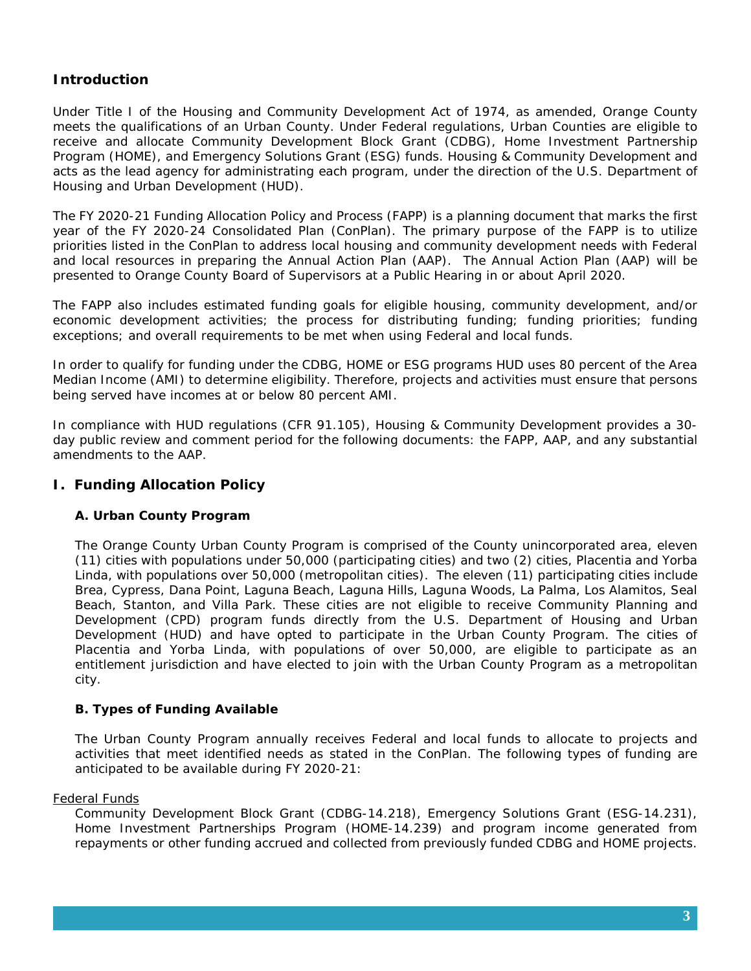# **Introduction**

Under Title I of the Housing and Community Development Act of 1974, as amended, Orange County meets the qualifications of an Urban County. Under Federal regulations, Urban Counties are eligible to receive and allocate Community Development Block Grant (CDBG), Home Investment Partnership Program (HOME), and Emergency Solutions Grant (ESG) funds. Housing & Community Development and acts as the lead agency for administrating each program, under the direction of the U.S. Department of Housing and Urban Development (HUD).

The FY 2020-21 Funding Allocation Policy and Process (FAPP) is a planning document that marks the first year of the FY 2020-24 Consolidated Plan (ConPlan). The primary purpose of the FAPP is to utilize priorities listed in the ConPlan to address local housing and community development needs with Federal and local resources in preparing the Annual Action Plan (AAP). The Annual Action Plan (AAP) will be presented to Orange County Board of Supervisors at a Public Hearing in or about April 2020.

The FAPP also includes estimated funding goals for eligible housing, community development, and/or economic development activities; the process for distributing funding; funding priorities; funding exceptions; and overall requirements to be met when using Federal and local funds.

In order to qualify for funding under the CDBG, HOME or ESG programs HUD uses 80 percent of the Area Median Income (AMI) to determine eligibility. Therefore, projects and activities must ensure that persons being served have incomes at or below 80 percent AMI.

In compliance with HUD regulations (CFR 91.105), Housing & Community Development provides a 30 day public review and comment period for the following documents: the FAPP, AAP, and any substantial amendments to the AAP.

## **I. Funding Allocation Policy**

## **A. Urban County Program**

The Orange County Urban County Program is comprised of the County unincorporated area, eleven (11) cities with populations under 50,000 (participating cities) and two (2) cities, Placentia and Yorba Linda, with populations over 50,000 (metropolitan cities). The eleven (11) participating cities include Brea, Cypress, Dana Point, Laguna Beach, Laguna Hills, Laguna Woods, La Palma, Los Alamitos, Seal Beach, Stanton, and Villa Park. These cities are not eligible to receive Community Planning and Development (CPD) program funds directly from the U.S. Department of Housing and Urban Development (HUD) and have opted to participate in the Urban County Program. The cities of Placentia and Yorba Linda, with populations of over 50,000, are eligible to participate as an entitlement jurisdiction and have elected to join with the Urban County Program as a metropolitan city.

## **B. Types of Funding Available**

The Urban County Program annually receives Federal and local funds to allocate to projects and activities that meet identified needs as stated in the ConPlan. The following types of funding are anticipated to be available during FY 2020-21:

### Federal Funds

Community Development Block Grant (CDBG-14.218), Emergency Solutions Grant (ESG-14.231), Home Investment Partnerships Program (HOME-14.239) and program income generated from repayments or other funding accrued and collected from previously funded CDBG and HOME projects.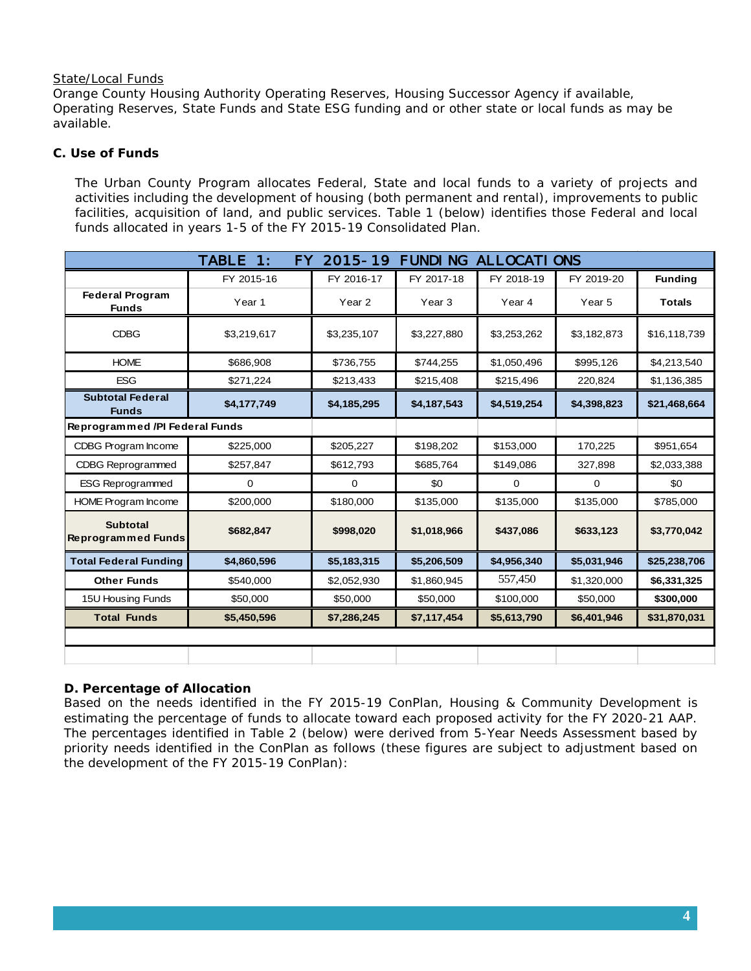### State/Local Funds

Orange County Housing Authority Operating Reserves, Housing Successor Agency if available, Operating Reserves, State Funds and State ESG funding and or other state or local funds as may be available.

## **C. Use of Funds**

The Urban County Program allocates Federal, State and local funds to a variety of projects and activities including the development of housing (both permanent and rental), improvements to public facilities, acquisition of land, and public services. Table 1 (below) identifies those Federal and local funds allocated in years 1-5 of the FY 2015-19 Consolidated Plan.

|                                              | <b>TABLE</b><br>$\mathbf{1:}$<br><b>FY</b> | $2015 - 19$       | <b>FUNDING</b> | <b>ALLOCATIONS</b> |                   |                |
|----------------------------------------------|--------------------------------------------|-------------------|----------------|--------------------|-------------------|----------------|
|                                              | FY 2015-16                                 | FY 2016-17        | FY 2017-18     | FY 2018-19         | FY 2019-20        | <b>Funding</b> |
| <b>Federal Program</b><br><b>Funds</b>       | Year 1                                     | Year <sub>2</sub> | Year 3         | Year 4             | Year <sub>5</sub> | <b>Totals</b>  |
| <b>CDBG</b>                                  | \$3,219,617                                | \$3,235,107       | \$3,227,880    | \$3,253,262        | \$3,182,873       | \$16,118,739   |
| <b>HOME</b>                                  | \$686,908                                  | \$736,755         | \$744,255      | \$1,050,496        | \$995,126         | \$4,213,540    |
| <b>ESG</b>                                   | \$271,224                                  | \$213,433         | \$215,408      | \$215,496          | 220,824           | \$1,136,385    |
| <b>Subtotal Federal</b><br><b>Funds</b>      | \$4,177,749                                | \$4,185,295       | \$4,187,543    | \$4,519,254        | \$4,398,823       | \$21,468,664   |
| Reprogrammed /PI Federal Funds               |                                            |                   |                |                    |                   |                |
| CDBG Program Income                          | \$225,000                                  | \$205,227         | \$198,202      | \$153,000          | 170,225           | \$951,654      |
| <b>CDBG Reprogrammed</b>                     | \$257,847                                  | \$612,793         | \$685,764      | \$149,086          | 327,898           | \$2,033,388    |
| <b>ESG Reprogrammed</b>                      | 0                                          | $\mathbf 0$       | \$0            | $\mathbf 0$        | $\mathbf 0$       | \$0            |
| <b>HOME Program Income</b>                   | \$200,000                                  | \$180,000         | \$135,000      | \$135,000          | \$135,000         | \$785,000      |
| <b>Subtotal</b><br><b>Reprogrammed Funds</b> | \$682,847                                  | \$998,020         | \$1,018,966    | \$437,086          | \$633,123         | \$3,770,042    |
| <b>Total Federal Funding</b>                 | \$4,860,596                                | \$5,183,315       | \$5,206,509    | \$4,956,340        | \$5,031,946       | \$25,238,706   |
| <b>Other Funds</b>                           | \$540,000                                  | \$2,052,930       | \$1,860,945    | 557,450            | \$1,320,000       | \$6,331,325    |
| 15U Housing Funds                            | \$50,000                                   | \$50,000          | \$50,000       | \$100,000          | \$50,000          | \$300,000      |
| <b>Total Funds</b>                           | \$5,450,596                                | \$7,286,245       | \$7,117,454    | \$5,613,790        | \$6,401,946       | \$31,870,031   |
|                                              |                                            |                   |                |                    |                   |                |
|                                              |                                            |                   |                |                    |                   |                |

## **D. Percentage of Allocation**

Based on the needs identified in the FY 2015-19 ConPlan, Housing & Community Development is estimating the percentage of funds to allocate toward each proposed activity for the FY 2020-21 AAP. The percentages identified in Table 2 (below) were derived from 5-Year Needs Assessment based by priority needs identified in the ConPlan as follows (these figures are subject to adjustment based on the development of the FY 2015-19 ConPlan):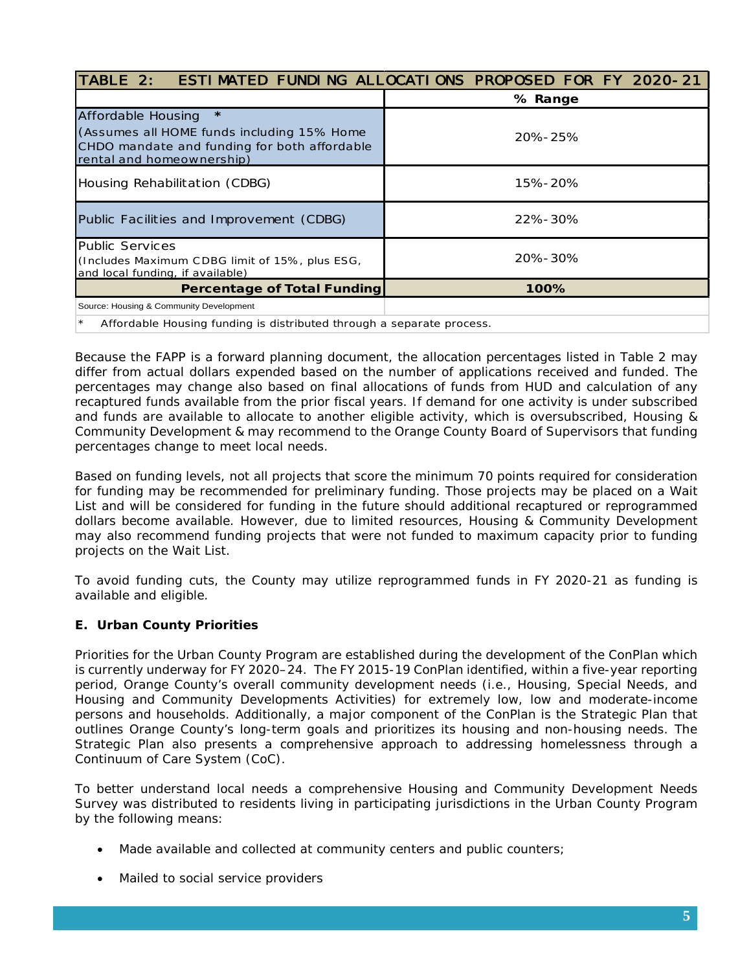| TABLE 2:                                                                                                                                                 | <b>ESTIMATED FUNDING ALLOCATIONS PROPOSED FOR FY 2020-21</b> |  |  |  |
|----------------------------------------------------------------------------------------------------------------------------------------------------------|--------------------------------------------------------------|--|--|--|
|                                                                                                                                                          | % Range                                                      |  |  |  |
| $\star$<br>Affordable Housing<br>(Assumes all HOME funds including 15% Home<br>CHDO mandate and funding for both affordable<br>rental and homeownership) | 20%-25%                                                      |  |  |  |
| Housing Rehabilitation (CDBG)<br>15%-20%                                                                                                                 |                                                              |  |  |  |
| Public Facilities and Improvement (CDBG)                                                                                                                 | <b>22%-30%</b>                                               |  |  |  |
| <b>Public Services</b><br>(Includes Maximum CDBG limit of 15%, plus ESG,<br>and local funding, if available)                                             | 20%-30%                                                      |  |  |  |
| <b>Percentage of Total Funding</b>                                                                                                                       | 100%                                                         |  |  |  |
| Source: Housing & Community Development                                                                                                                  |                                                              |  |  |  |
| Affordable Housing funding is distributed through a senarate process                                                                                     |                                                              |  |  |  |

Affordable Housing funding is distributed through a separate process.

Because the FAPP is a forward planning document, the allocation percentages listed in Table 2 may differ from actual dollars expended based on the number of applications received and funded. The percentages may change also based on final allocations of funds from HUD and calculation of any recaptured funds available from the prior fiscal years. If demand for one activity is under subscribed and funds are available to allocate to another eligible activity, which is oversubscribed, Housing & Community Development & may recommend to the Orange County Board of Supervisors that funding percentages change to meet local needs.

Based on funding levels, not all projects that score the minimum 70 points required for consideration for funding may be recommended for preliminary funding. Those projects may be placed on a Wait List and will be considered for funding in the future should additional recaptured or reprogrammed dollars become available. However, due to limited resources, Housing & Community Development may also recommend funding projects that were not funded to maximum capacity prior to funding projects on the Wait List.

To avoid funding cuts, the County may utilize reprogrammed funds in FY 2020-21 as funding is available and eligible.

## **E. Urban County Priorities**

Priorities for the Urban County Program are established during the development of the ConPlan which is currently underway for FY 2020–24. The FY 2015-19 ConPlan identified, within a five-year reporting period, Orange County's overall community development needs (i.e., Housing, Special Needs, and Housing and Community Developments Activities) for extremely low, low and moderate-income persons and households. Additionally, a major component of the ConPlan is the Strategic Plan that outlines Orange County's long-term goals and prioritizes its housing and non-housing needs. The Strategic Plan also presents a comprehensive approach to addressing homelessness through a Continuum of Care System (CoC).

To better understand local needs a comprehensive Housing and Community Development Needs Survey was distributed to residents living in participating jurisdictions in the Urban County Program by the following means:

- Made available and collected at community centers and public counters;
- Mailed to social service providers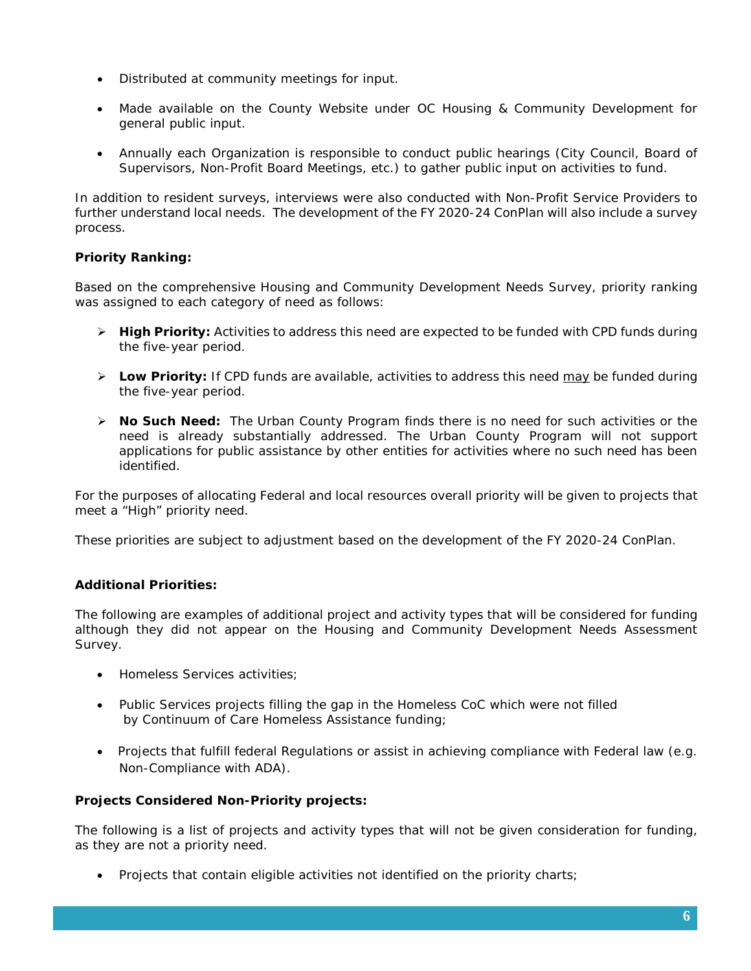- Distributed at community meetings for input.
- Made available on the County Website under OC Housing & Community Development for general public input.
- Annually each Organization is responsible to conduct public hearings (City Council, Board of Supervisors, Non-Profit Board Meetings, etc.) to gather public input on activities to fund.

In addition to resident surveys, interviews were also conducted with Non-Profit Service Providers to further understand local needs. The development of the FY 2020-24 ConPlan will also include a survey process.

## **Priority Ranking:**

Based on the comprehensive Housing and Community Development Needs Survey, priority ranking was assigned to each category of need as follows:

- **High Priority:** Activities to address this need are expected to be funded with CPD funds during the five-year period.
- **Low Priority:** If CPD funds are available, activities to address this need may be funded during the five-year period.
- **No Such Need:** The Urban County Program finds there is no need for such activities or the need is already substantially addressed. The Urban County Program will not support applications for public assistance by other entities for activities where no such need has been identified.

For the purposes of allocating Federal and local resources overall priority will be given to projects that meet a "High" priority need.

These priorities are subject to adjustment based on the development of the FY 2020-24 ConPlan.

## **Additional Priorities:**

The following are examples of additional project and activity types that will be considered for funding although they did not appear on the Housing and Community Development Needs Assessment Survey.

- Homeless Services activities;
- Public Services projects filling the gap in the Homeless CoC which were not filled by Continuum of Care Homeless Assistance funding;
- Projects that fulfill federal Regulations or assist in achieving compliance with Federal law (e.g. Non-Compliance with ADA).

## **Projects Considered Non-Priority projects:**

The following is a list of projects and activity types that will not be given consideration for funding, as they are not a priority need.

• Projects that contain eligible activities not identified on the priority charts;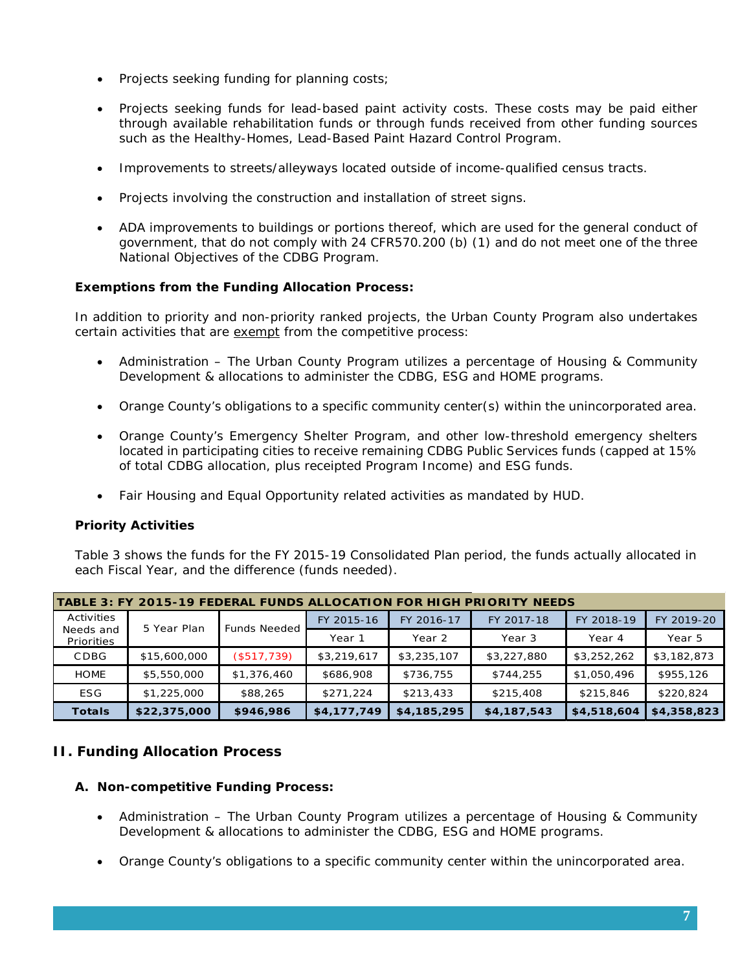- Projects seeking funding for planning costs;
- Projects seeking funds for lead-based paint activity costs. These costs may be paid either through available rehabilitation funds or through funds received from other funding sources such as the Healthy-Homes, Lead-Based Paint Hazard Control Program.
- Improvements to streets/alleyways located outside of income-qualified census tracts.
- Projects involving the construction and installation of street signs.
- ADA improvements to buildings or portions thereof, which are used for the general conduct of government, that do not comply with 24 CFR570.200 (b) (1) and do not meet one of the three National Objectives of the CDBG Program.

## **Exemptions from the Funding Allocation Process:**

In addition to priority and non-priority ranked projects, the Urban County Program also undertakes certain activities that are exempt from the competitive process:

- Administration The Urban County Program utilizes a percentage of Housing & Community Development & allocations to administer the CDBG, ESG and HOME programs.
- Orange County's obligations to a specific community center(s) within the unincorporated area.
- Orange County's Emergency Shelter Program, and other low-threshold emergency shelters located in participating cities to receive remaining CDBG Public Services funds (capped at 15% of total CDBG allocation, plus receipted Program Income) and ESG funds.
- Fair Housing and Equal Opportunity related activities as mandated by HUD.

### **Priority Activities**

Table 3 shows the funds for the FY 2015-19 Consolidated Plan period, the funds actually allocated in each Fiscal Year, and the difference (funds needed).

| TABLE 3: FY 2015-19 FEDERAL FUNDS ALLOCATION FOR HIGH PRIORITY NEEDS |                     |             |             |             |             |             |             |
|----------------------------------------------------------------------|---------------------|-------------|-------------|-------------|-------------|-------------|-------------|
| Activities<br>5 Year Plan                                            | <b>Funds Needed</b> | FY 2015-16  | FY 2016-17  | FY 2017-18  | FY 2018-19  | FY 2019-20  |             |
| Priorities                                                           | Needs and           |             | Year 1      | Year 2      | Year 3      | Year 4      | Year 5      |
| CDBG                                                                 | \$15,600,000        | (\$517,739) | \$3,219,617 | \$3,235,107 | \$3,227,880 | \$3,252,262 | \$3,182,873 |
| <b>HOME</b>                                                          | \$5,550,000         | \$1,376,460 | \$686,908   | \$736,755   | \$744,255   | \$1,050,496 | \$955,126   |
| <b>ESG</b>                                                           | \$1,225,000         | \$88,265    | \$271,224   | \$213,433   | \$215,408   | \$215,846   | \$220,824   |
| <b>Totals</b>                                                        | \$22,375,000        | \$946,986   | \$4,177,749 | \$4,185,295 | \$4,187,543 | \$4,518,604 | \$4,358,823 |

## **II. Funding Allocation Process**

### **A. Non-competitive Funding Process:**

- Administration The Urban County Program utilizes a percentage of Housing & Community Development & allocations to administer the CDBG, ESG and HOME programs.
- Orange County's obligations to a specific community center within the unincorporated area.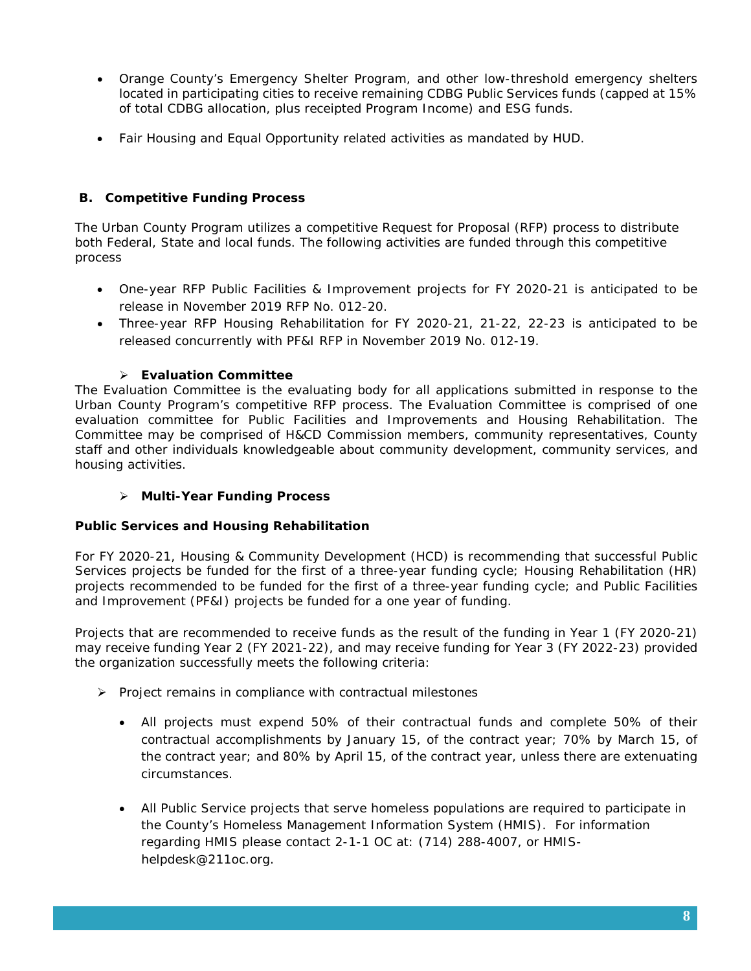- Orange County's Emergency Shelter Program, and other low-threshold emergency shelters located in participating cities to receive remaining CDBG Public Services funds (capped at 15% of total CDBG allocation, plus receipted Program Income) and ESG funds.
- Fair Housing and Equal Opportunity related activities as mandated by HUD.

## **B. Competitive Funding Process**

The Urban County Program utilizes a competitive Request for Proposal (RFP) process to distribute both Federal, State and local funds. The following activities are funded through this competitive process

- One-year RFP Public Facilities & Improvement projects for FY 2020-21 is anticipated to be release in November 2019 RFP No. 012-20.
- Three-year RFP Housing Rehabilitation for FY 2020-21, 21-22, 22-23 is anticipated to be released concurrently with PF&I RFP in November 2019 No. 012-19.

## **Evaluation Committee**

The Evaluation Committee is the evaluating body for all applications submitted in response to the Urban County Program's competitive RFP process. The Evaluation Committee is comprised of one evaluation committee for Public Facilities and Improvements and Housing Rehabilitation. The Committee may be comprised of H&CD Commission members, community representatives, County staff and other individuals knowledgeable about community development, community services, and housing activities.

### **Multi-Year Funding Process**

### **Public Services and Housing Rehabilitation**

For FY 2020-21, Housing & Community Development (HCD) is recommending that successful Public Services projects be funded for the first of a three-year funding cycle; Housing Rehabilitation (HR) projects recommended to be funded for the first of a three-year funding cycle; and Public Facilities and Improvement (PF&I) projects be funded for a one year of funding.

Projects that are recommended to receive funds as the result of the funding in Year 1 (FY 2020-21) may receive funding Year 2 (FY 2021-22), and may receive funding for Year 3 (FY 2022-23) provided the organization successfully meets the following criteria:

- $\triangleright$  Project remains in compliance with contractual milestones
	- All projects must expend 50% of their contractual funds and complete 50% of their contractual accomplishments by January 15, of the contract year; 70% by March 15, of the contract year; and 80% by April 15, of the contract year, unless there are extenuating circumstances.
	- All Public Service projects that serve homeless populations are required to participate in the County's Homeless Management Information System (HMIS). For information regarding HMIS please contact 2-1-1 OC at: (714) 288-4007, or HMIShelpdesk@211oc.org.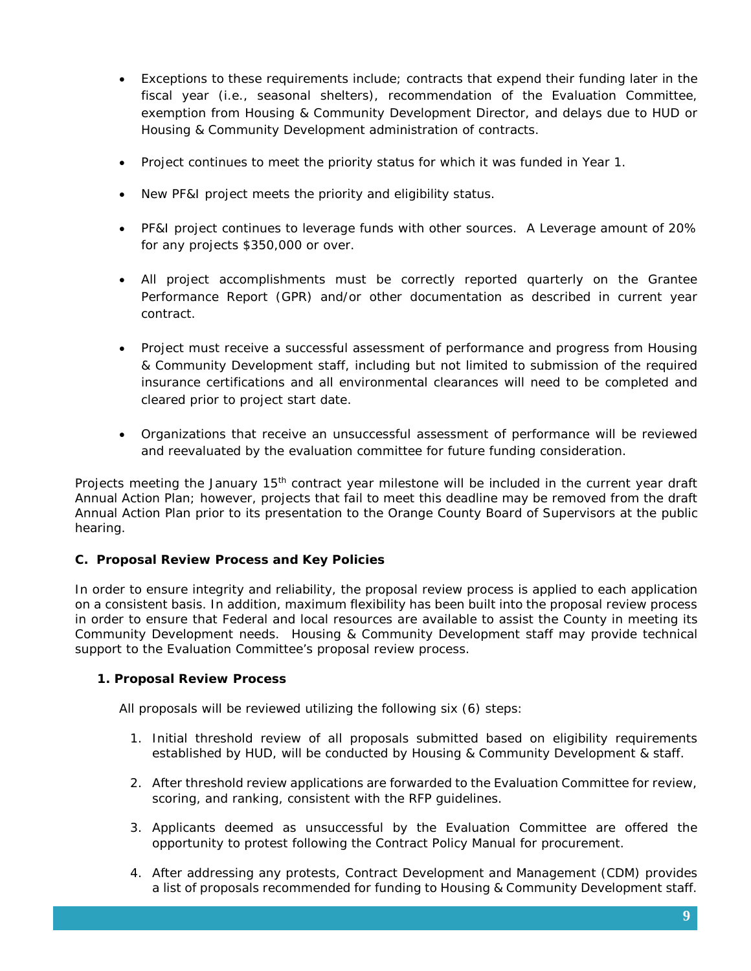- Exceptions to these requirements include; contracts that expend their funding later in the fiscal year (i.e., seasonal shelters), recommendation of the Evaluation Committee, exemption from Housing & Community Development Director, and delays due to HUD or Housing & Community Development administration of contracts.
- Project continues to meet the priority status for which it was funded in Year 1.
- New PF&I project meets the priority and eligibility status.
- PF&I project continues to leverage funds with other sources. A Leverage amount of 20% for any projects \$350,000 or over.
- All project accomplishments must be correctly reported quarterly on the Grantee Performance Report (GPR) and/or other documentation as described in current year contract.
- Project must receive a successful assessment of performance and progress from Housing & Community Development staff, including but not limited to submission of the required insurance certifications and all environmental clearances will need to be completed and cleared prior to project start date.
- Organizations that receive an unsuccessful assessment of performance will be reviewed and reevaluated by the evaluation committee for future funding consideration.

Projects meeting the January 15<sup>th</sup> contract year milestone will be included in the current year draft Annual Action Plan; however, projects that fail to meet this deadline may be removed from the draft Annual Action Plan prior to its presentation to the Orange County Board of Supervisors at the public hearing.

## **C. Proposal Review Process and Key Policies**

In order to ensure integrity and reliability, the proposal review process is applied to each application on a consistent basis. In addition, maximum flexibility has been built into the proposal review process in order to ensure that Federal and local resources are available to assist the County in meeting its Community Development needs. Housing & Community Development staff may provide technical support to the Evaluation Committee's proposal review process.

### **1. Proposal Review Process**

All proposals will be reviewed utilizing the following six (6) steps:

- 1. Initial threshold review of all proposals submitted based on eligibility requirements established by HUD, will be conducted by Housing & Community Development & staff.
- 2. After threshold review applications are forwarded to the Evaluation Committee for review, scoring, and ranking, consistent with the RFP guidelines.
- 3. Applicants deemed as unsuccessful by the Evaluation Committee are offered the opportunity to protest following the Contract Policy Manual for procurement.
- 4. After addressing any protests, Contract Development and Management (CDM) provides a list of proposals recommended for funding to Housing & Community Development staff.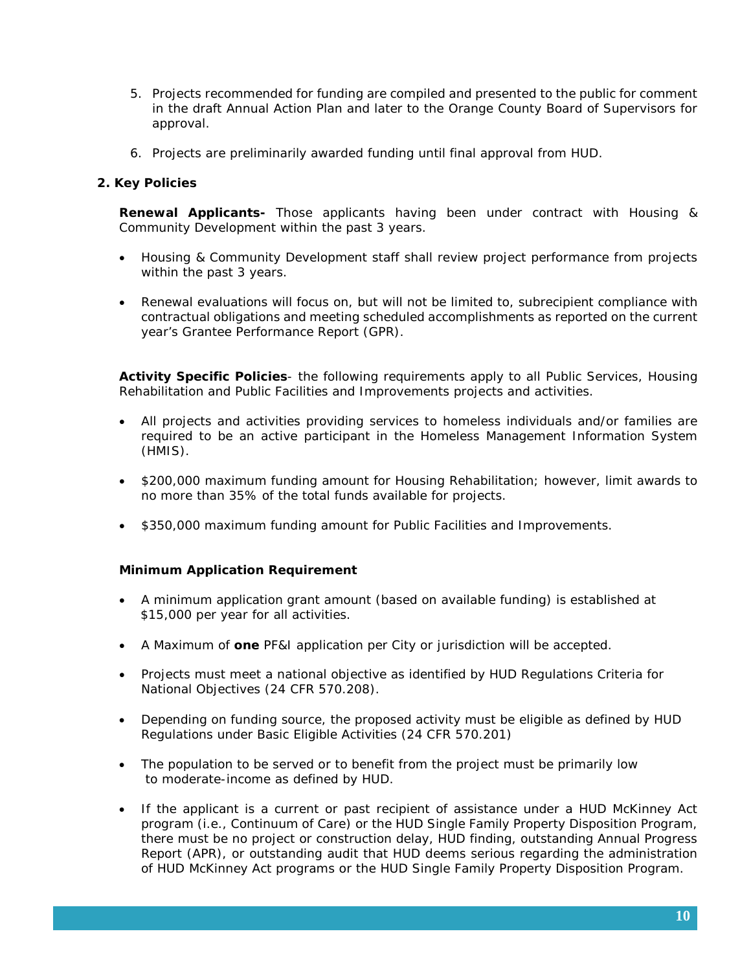- 5. Projects recommended for funding are compiled and presented to the public for comment in the draft Annual Action Plan and later to the Orange County Board of Supervisors for approval.
- 6. Projects are preliminarily awarded funding until final approval from HUD.

### **2. Key Policies**

**Renewal Applicants-** Those applicants having been under contract with Housing & Community Development within the past 3 years.

- Housing & Community Development staff shall review project performance from projects within the past 3 years.
- Renewal evaluations will focus on, but will not be limited to, subrecipient compliance with contractual obligations and meeting scheduled accomplishments as reported on the current year's Grantee Performance Report (GPR).

**Activity Specific Policies**- the following requirements apply to all Public Services, Housing Rehabilitation and Public Facilities and Improvements projects and activities.

- All projects and activities providing services to homeless individuals and/or families are required to be an active participant in the Homeless Management Information System (HMIS).
- \$200,000 maximum funding amount for Housing Rehabilitation; however, limit awards to no more than 35% of the total funds available for projects.
- \$350,000 maximum funding amount for Public Facilities and Improvements.

#### **Minimum Application Requirement**

- A minimum application grant amount (based on available funding) is established at \$15,000 per year for all activities.
- A Maximum of **one** PF&I application per City or jurisdiction will be accepted.
- Projects must meet a national objective as identified by HUD Regulations Criteria for National Objectives (24 CFR 570.208).
- Depending on funding source, the proposed activity must be eligible as defined by HUD Regulations under Basic Eligible Activities (24 CFR 570.201)
- The population to be served or to benefit from the project must be primarily low to moderate-income as defined by HUD.
- If the applicant is a current or past recipient of assistance under a HUD McKinney Act program (i.e., Continuum of Care) or the HUD Single Family Property Disposition Program, there must be no project or construction delay, HUD finding, outstanding Annual Progress Report (APR), or outstanding audit that HUD deems serious regarding the administration of HUD McKinney Act programs or the HUD Single Family Property Disposition Program.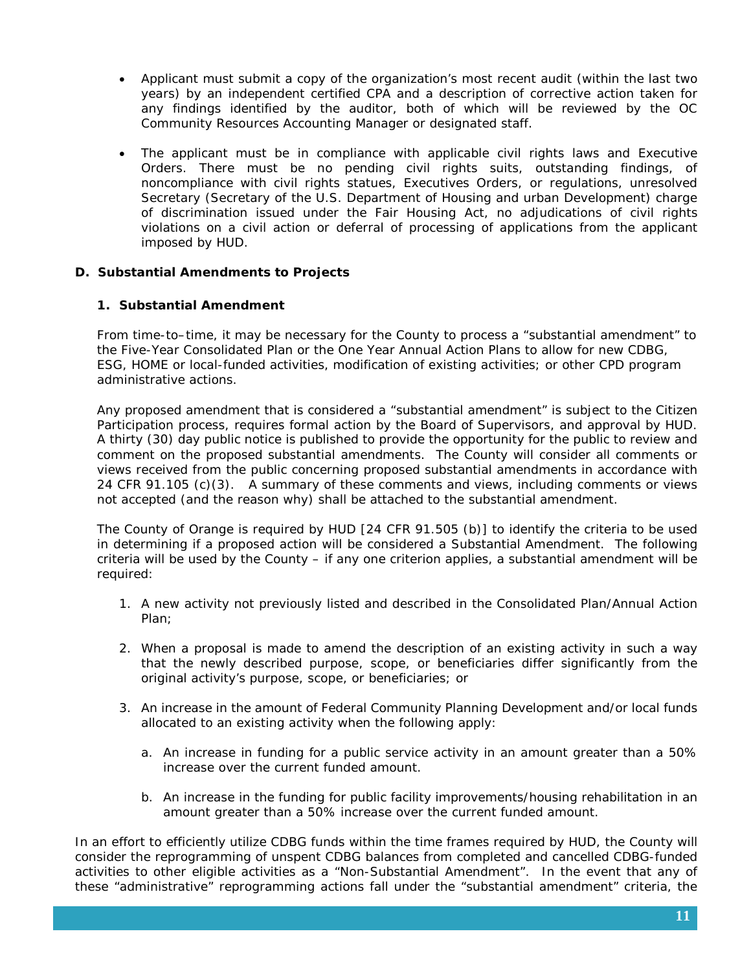- Applicant must submit a copy of the organization's most recent audit (within the last two years) by an independent certified CPA and a description of corrective action taken for any findings identified by the auditor, both of which will be reviewed by the OC Community Resources Accounting Manager or designated staff.
- The applicant must be in compliance with applicable civil rights laws and Executive Orders. There must be no pending civil rights suits, outstanding findings, of noncompliance with civil rights statues, Executives Orders, or regulations, unresolved Secretary (Secretary of the U.S. Department of Housing and urban Development) charge of discrimination issued under the Fair Housing Act, no adjudications of civil rights violations on a civil action or deferral of processing of applications from the applicant imposed by HUD.

## **D. Substantial Amendments to Projects**

### **1. Substantial Amendment**

From time-to–time, it may be necessary for the County to process a "substantial amendment" to the Five-Year Consolidated Plan or the One Year Annual Action Plans to allow for new CDBG, ESG, HOME or local-funded activities, modification of existing activities; or other CPD program administrative actions.

Any proposed amendment that is considered a "substantial amendment" is subject to the Citizen Participation process, requires formal action by the Board of Supervisors, and approval by HUD. A thirty (30) day public notice is published to provide the opportunity for the public to review and comment on the proposed substantial amendments. The County will consider all comments or views received from the public concerning proposed substantial amendments in accordance with 24 CFR 91.105 (c)(3). A summary of these comments and views, including comments or views not accepted (and the reason why) shall be attached to the substantial amendment.

The County of Orange is required by HUD [24 CFR 91.505 (b)] to identify the criteria to be used in determining if a proposed action will be considered a *Substantial Amendment.* The following criteria will be used by the County – if any one criterion applies, a substantial amendment will be required:

- 1. A new activity not previously listed and described in the Consolidated Plan/Annual Action Plan;
- 2. When a proposal is made to amend the description of an existing activity in such a way that the newly described purpose, scope, or beneficiaries differ significantly from the original activity's purpose, scope, or beneficiaries; or
- 3. An increase in the amount of Federal Community Planning Development and/or local funds allocated to an existing activity when the following apply:
	- a. An increase in funding for a public service activity in an amount greater than a 50% increase over the current funded amount.
	- b. An increase in the funding for public facility improvements/housing rehabilitation in an amount greater than a 50% increase over the current funded amount.

In an effort to efficiently utilize CDBG funds within the time frames required by HUD, the County will consider the reprogramming of unspent CDBG balances from completed and cancelled CDBG-funded activities to other eligible activities as a "Non-Substantial Amendment". In the event that any of these "administrative" reprogramming actions fall under the "substantial amendment" criteria, the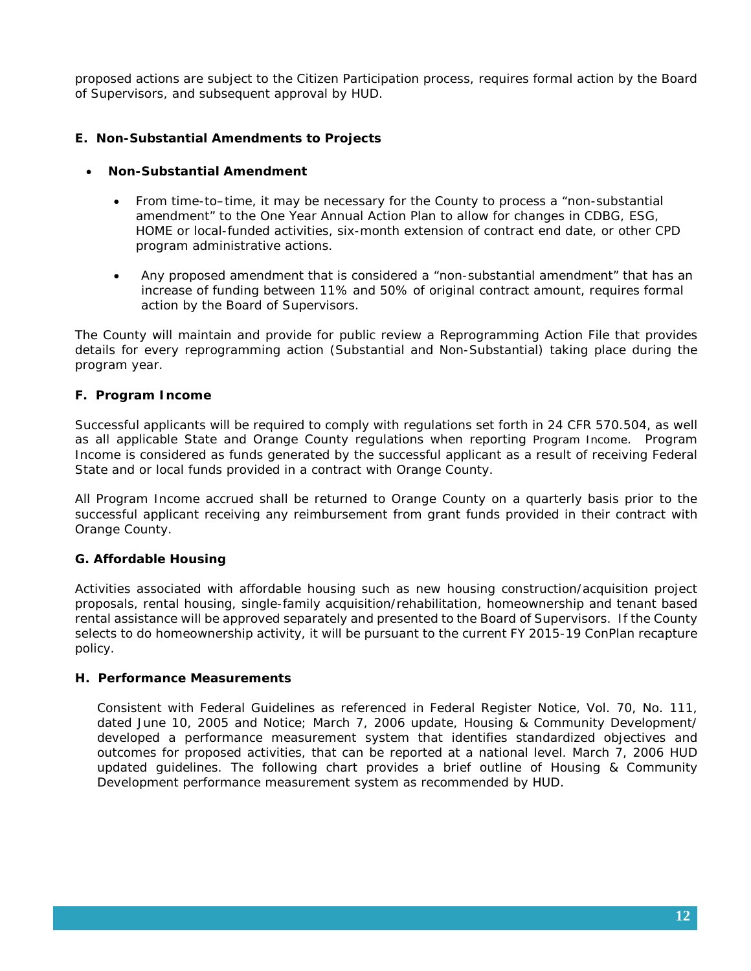proposed actions are subject to the Citizen Participation process, requires formal action by the Board of Supervisors, and subsequent approval by HUD.

## **E. Non-Substantial Amendments to Projects**

#### • **Non-Substantial Amendment**

- From time-to–time, it may be necessary for the County to process a "non-substantial amendment" to the One Year Annual Action Plan to allow for changes in CDBG, ESG, HOME or local-funded activities, six-month extension of contract end date, or other CPD program administrative actions.
- Any proposed amendment that is considered a "non-substantial amendment" that has an increase of funding between 11% and 50% of original contract amount, requires formal action by the Board of Supervisors.

The County will maintain and provide for public review a Reprogramming Action File that provides details for every reprogramming action (Substantial and Non-Substantial) taking place during the program year.

### **F. Program Income**

Successful applicants will be required to comply with regulations set forth in 24 CFR 570.504, as well as all applicable State and Orange County regulations when reporting Program Income. Program Income is considered as funds generated by the successful applicant as a result of receiving Federal State and or local funds provided in a contract with Orange County.

All Program Income accrued shall be returned to Orange County on a quarterly basis prior to the successful applicant receiving any reimbursement from grant funds provided in their contract with Orange County.

### **G. Affordable Housing**

Activities associated with affordable housing such as new housing construction/acquisition project proposals, rental housing, single-family acquisition/rehabilitation, homeownership and tenant based rental assistance will be approved separately and presented to the Board of Supervisors. If the County selects to do homeownership activity, it will be pursuant to the current FY 2015-19 ConPlan recapture policy.

### **H. Performance Measurements**

Consistent with Federal Guidelines as referenced in Federal Register Notice, Vol. 70, No. 111, dated June 10, 2005 and Notice; March 7, 2006 update, Housing & Community Development/ developed a performance measurement system that identifies standardized objectives and outcomes for proposed activities, that can be reported at a national level. March 7, 2006 HUD updated guidelines. The following chart provides a brief outline of Housing & Community Development performance measurement system as recommended by HUD.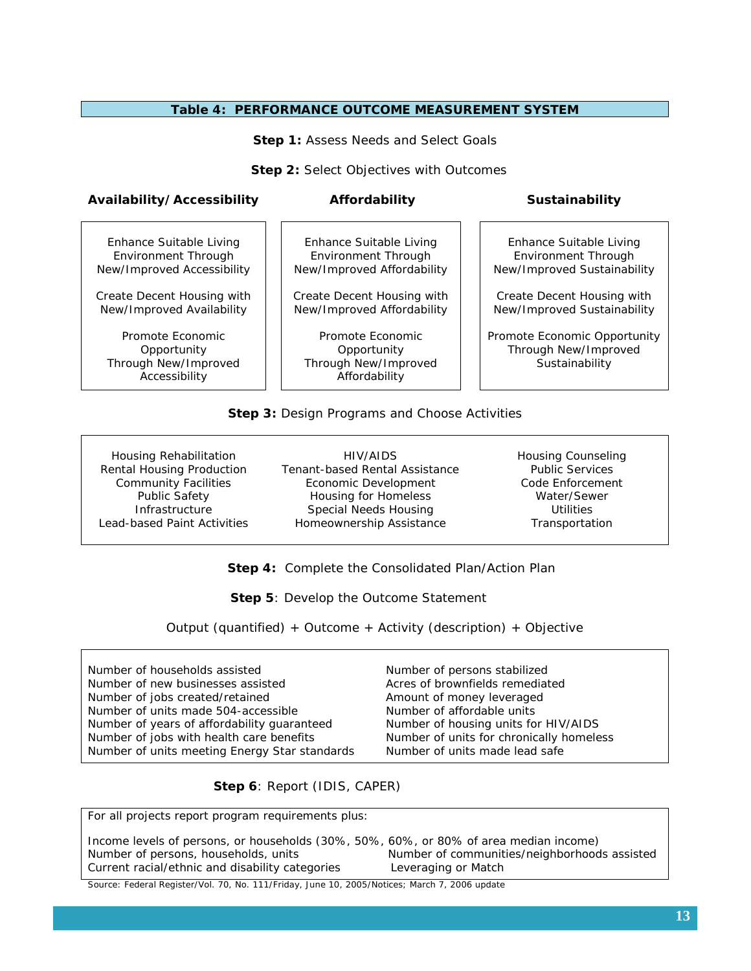#### **Table 4: PERFORMANCE OUTCOME MEASUREMENT SYSTEM**

**Step 1: Assess Needs and Select Goals** 

**Step 2: Select Objectives with Outcomes** 

#### **Availability/Accessibility Affordability Sustainability**

Enhance Suitable Living Environment Through New/Improved Accessibility

Create Decent Housing with New/Improved Availability

Promote Economic **Opportunity** Through New/Improved Accessibility

Enhance Suitable Living Environment Through New/Improved Affordability

Create Decent Housing with New/Improved Affordability

Promote Economic **Opportunity** Through New/Improved Affordability

Enhance Suitable Living Environment Through New/Improved Sustainability

Create Decent Housing with New/Improved Sustainability

Promote Economic Opportunity Through New/Improved Sustainability

#### **Step 3:** Design Programs and Choose Activities

Housing Rehabilitation Rental Housing Production Community Facilities Public Safety **Infrastructure** Lead-based Paint Activities

HIV/AIDS Tenant-based Rental Assistance Economic Development Housing for Homeless Special Needs Housing Homeownership Assistance

Housing Counseling Public Services Code Enforcement Water/Sewer **Utilities** Transportation

 **Step 4:** Complete the Consolidated Plan/Action Plan

**Step 5: Develop the Outcome Statement** 

Output (quantified) + Outcome + Activity (description) + Objective

Number of households assisted Number of new businesses assisted Number of jobs created/retained Number of units made 504-accessible Number of years of affordability guaranteed Number of jobs with health care benefits Number of units meeting Energy Star standards Number of persons stabilized Acres of brownfields remediated Amount of money leveraged Number of affordable units Number of housing units for HIV/AIDS Number of units for chronically homeless Number of units made lead safe

 **Step 6**: Report (IDIS, CAPER)

For all projects report program requirements plus:

Income levels of persons, or households (30%, 50%, 60%, or 80% of area median income) Number of persons, households, units Number of communities/neighborhoods assisted Current racial/ethnic and disability categories Leveraging or Match

Source: Federal Register/Vol. 70, No. 111/Friday, June 10, 2005/Notices; March 7, 2006 update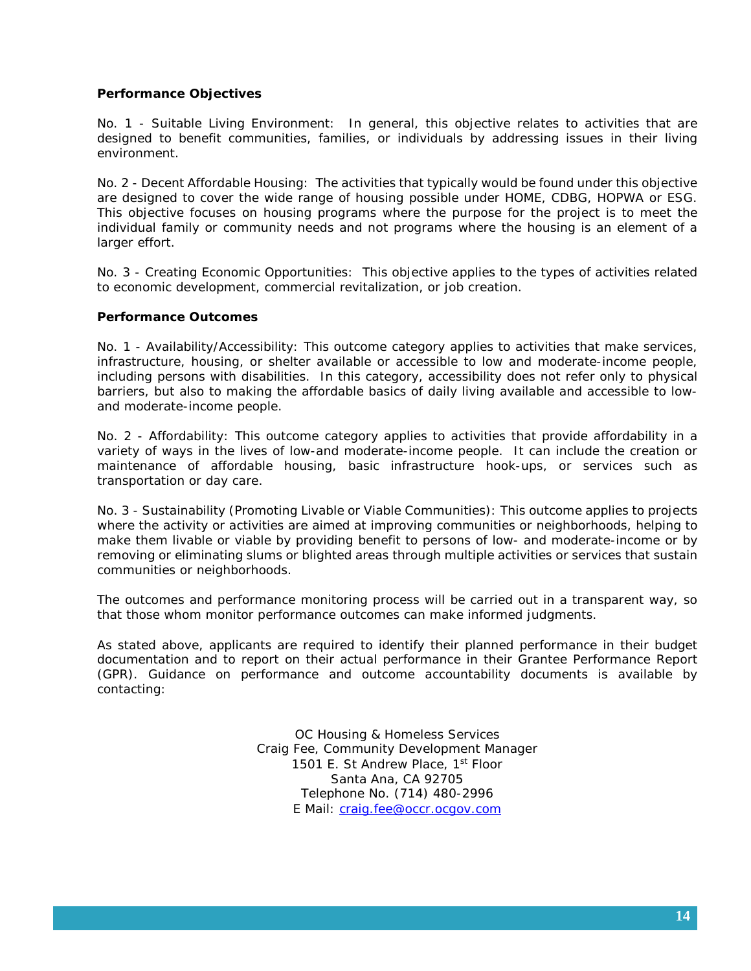#### **Performance Objectives**

No. 1 - Suitable Living Environment: In general, this objective relates to activities that are designed to benefit communities, families, or individuals by addressing issues in their living environment.

No. 2 - Decent Affordable Housing: The activities that typically would be found under this objective are designed to cover the wide range of housing possible under HOME, CDBG, HOPWA or ESG. This objective focuses on housing programs where the purpose for the project is to meet the individual family or community needs and not programs where the housing is an element of a larger effort.

No. 3 - Creating Economic Opportunities: This objective applies to the types of activities related to economic development, commercial revitalization, or job creation.

#### **Performance Outcomes**

No. 1 - Availability/Accessibility: This outcome category applies to activities that make services, infrastructure, housing, or shelter available or accessible to low and moderate-income people, including persons with disabilities. In this category, accessibility does not refer only to physical barriers, but also to making the affordable basics of daily living available and accessible to lowand moderate-income people.

No. 2 - Affordability: This outcome category applies to activities that provide affordability in a variety of ways in the lives of low-and moderate-income people. It can include the creation or maintenance of affordable housing, basic infrastructure hook-ups, or services such as transportation or day care.

No. 3 - Sustainability (Promoting Livable or Viable Communities): This outcome applies to projects where the activity or activities are aimed at improving communities or neighborhoods, helping to make them livable or viable by providing benefit to persons of low- and moderate-income or by removing or eliminating slums or blighted areas through multiple activities or services that sustain communities or neighborhoods.

The outcomes and performance monitoring process will be carried out in a transparent way, so that those whom monitor performance outcomes can make informed judgments.

As stated above, applicants are required to identify their planned performance in their budget documentation and to report on their actual performance in their Grantee Performance Report (GPR). Guidance on performance and outcome accountability documents is available by contacting:

> OC Housing & Homeless Services Craig Fee, Community Development Manager 1501 E. St Andrew Place, 1<sup>st</sup> Floor Santa Ana, CA 92705 Telephone No. (714) 480-2996 E Mail: [craig.fee@occr.ocgov.com](mailto:craig.fee@occr.ocgov.com)